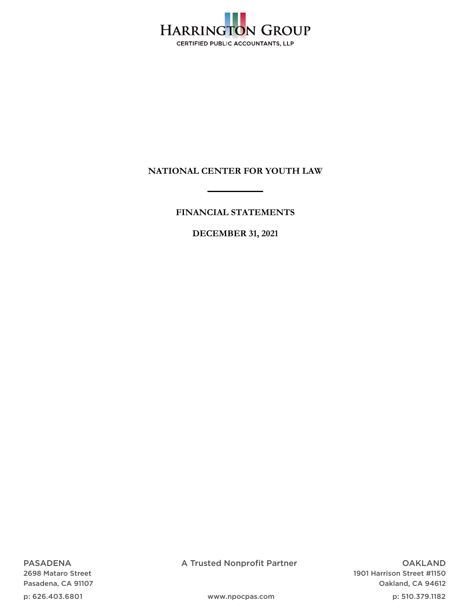

**FINANCIAL STATEMENTS** 

**DECEMBER 31, 2021** 

PASADENA 2698 Mataro Street Pasadena, CA 91107

p: 626.403.6801

A Trusted Nonprofit Partner

OAKLAND 1901 Harrison Street #1150 Oakland, CA 94612

www.npocpas.com

p: 510.379.1182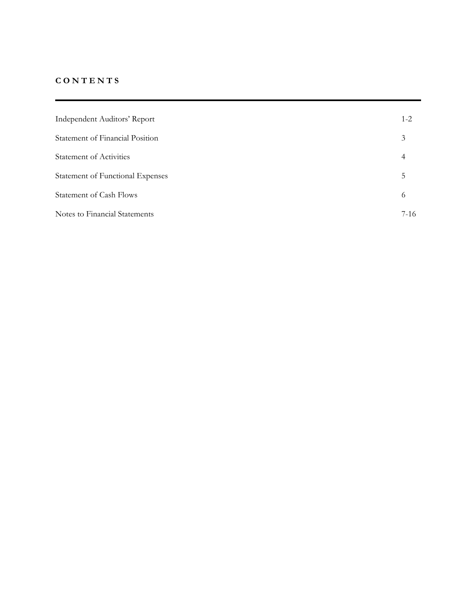# **C O N T E N T S**

| Independent Auditors' Report            | $1 - 2$ |
|-----------------------------------------|---------|
| Statement of Financial Position         | 3       |
| <b>Statement of Activities</b>          | 4       |
| <b>Statement of Functional Expenses</b> | 5       |
| <b>Statement of Cash Flows</b>          | 6       |
| Notes to Financial Statements           | $7-16$  |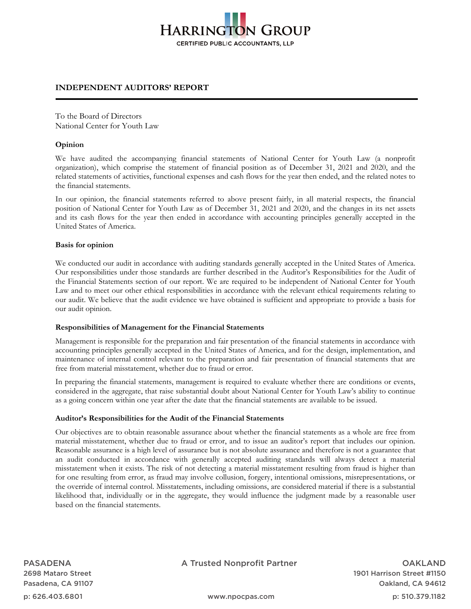# **HARRINGTON GROUP** CERTIFIED PUBLIC ACCOUNTANTS, LLP

## **INDEPENDENT AUDITORS' REPORT**

To the Board of Directors National Center for Youth Law

#### **Opinion**

We have audited the accompanying financial statements of National Center for Youth Law (a nonprofit organization), which comprise the statement of financial position as of December 31, 2021 and 2020, and the related statements of activities, functional expenses and cash flows for the year then ended, and the related notes to the financial statements.

In our opinion, the financial statements referred to above present fairly, in all material respects, the financial position of National Center for Youth Law as of December 31, 2021 and 2020, and the changes in its net assets and its cash flows for the year then ended in accordance with accounting principles generally accepted in the United States of America.

#### **Basis for opinion**

We conducted our audit in accordance with auditing standards generally accepted in the United States of America. Our responsibilities under those standards are further described in the Auditor's Responsibilities for the Audit of the Financial Statements section of our report. We are required to be independent of National Center for Youth Law and to meet our other ethical responsibilities in accordance with the relevant ethical requirements relating to our audit. We believe that the audit evidence we have obtained is sufficient and appropriate to provide a basis for our audit opinion.

#### **Responsibilities of Management for the Financial Statements**

Management is responsible for the preparation and fair presentation of the financial statements in accordance with accounting principles generally accepted in the United States of America, and for the design, implementation, and maintenance of internal control relevant to the preparation and fair presentation of financial statements that are free from material misstatement, whether due to fraud or error.

In preparing the financial statements, management is required to evaluate whether there are conditions or events, considered in the aggregate, that raise substantial doubt about National Center for Youth Law's ability to continue as a going concern within one year after the date that the financial statements are available to be issued.

#### **Auditor's Responsibilities for the Audit of the Financial Statements**

Our objectives are to obtain reasonable assurance about whether the financial statements as a whole are free from material misstatement, whether due to fraud or error, and to issue an auditor's report that includes our opinion. Reasonable assurance is a high level of assurance but is not absolute assurance and therefore is not a guarantee that an audit conducted in accordance with generally accepted auditing standards will always detect a material misstatement when it exists. The risk of not detecting a material misstatement resulting from fraud is higher than for one resulting from error, as fraud may involve collusion, forgery, intentional omissions, misrepresentations, or the override of internal control. Misstatements, including omissions, are considered material if there is a substantial likelihood that, individually or in the aggregate, they would influence the judgment made by a reasonable user based on the financial statements.

PASADENA 2698 Mataro Street Pasadena, CA 91107 A Trusted Nonprofit Partner

OAKLAND 1901 Harrison Street #1150 Oakland, CA 94612

p: 510.379.1182

p: 626.403.6801

www.npocpas.com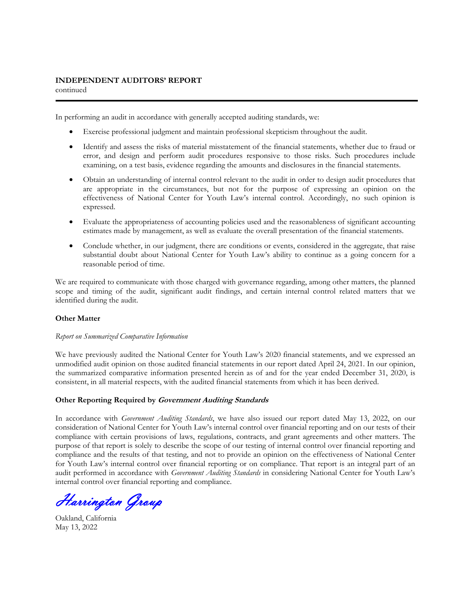# **INDEPENDENT AUDITORS' REPORT**

continued

In performing an audit in accordance with generally accepted auditing standards, we:

- Exercise professional judgment and maintain professional skepticism throughout the audit.
- Identify and assess the risks of material misstatement of the financial statements, whether due to fraud or error, and design and perform audit procedures responsive to those risks. Such procedures include examining, on a test basis, evidence regarding the amounts and disclosures in the financial statements.
- Obtain an understanding of internal control relevant to the audit in order to design audit procedures that are appropriate in the circumstances, but not for the purpose of expressing an opinion on the effectiveness of National Center for Youth Law's internal control. Accordingly, no such opinion is expressed.
- Evaluate the appropriateness of accounting policies used and the reasonableness of significant accounting estimates made by management, as well as evaluate the overall presentation of the financial statements.
- Conclude whether, in our judgment, there are conditions or events, considered in the aggregate, that raise substantial doubt about National Center for Youth Law's ability to continue as a going concern for a reasonable period of time.

We are required to communicate with those charged with governance regarding, among other matters, the planned scope and timing of the audit, significant audit findings, and certain internal control related matters that we identified during the audit.

#### **Other Matter**

#### *Report on Summarized Comparative Information*

We have previously audited the National Center for Youth Law's 2020 financial statements, and we expressed an unmodified audit opinion on those audited financial statements in our report dated April 24, 2021. In our opinion, the summarized comparative information presented herein as of and for the year ended December 31, 2020, is consistent, in all material respects, with the audited financial statements from which it has been derived.

#### **Other Reporting Required by Government Auditing Standards**

In accordance with *Government Auditing Standards*, we have also issued our report dated May 13, 2022, on our consideration of National Center for Youth Law's internal control over financial reporting and on our tests of their compliance with certain provisions of laws, regulations, contracts, and grant agreements and other matters. The purpose of that report is solely to describe the scope of our testing of internal control over financial reporting and compliance and the results of that testing, and not to provide an opinion on the effectiveness of National Center for Youth Law's internal control over financial reporting or on compliance. That report is an integral part of an audit performed in accordance with *Government Auditing Standards* in considering National Center for Youth Law's internal control over financial reporting and compliance.

Harrington Group

Oakland, California May 13, 2022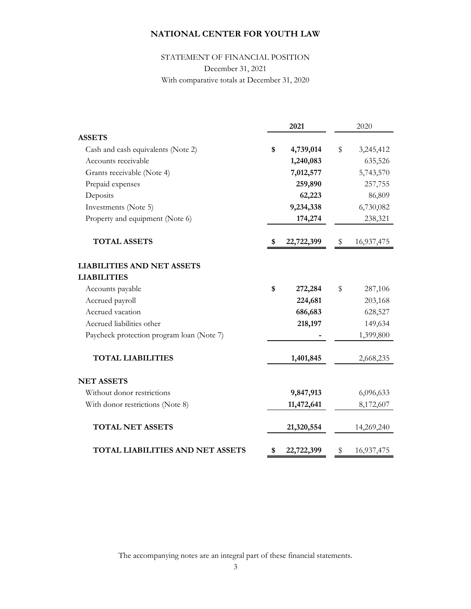# STATEMENT OF FINANCIAL POSITION December 31, 2021 With comparative totals at December 31, 2020

|                                           | 2021 |            | 2020             |
|-------------------------------------------|------|------------|------------------|
| <b>ASSETS</b>                             |      |            |                  |
| Cash and cash equivalents (Note 2)        | \$   | 4,739,014  | \$<br>3,245,412  |
| Accounts receivable                       |      | 1,240,083  | 635,526          |
| Grants receivable (Note 4)                |      | 7,012,577  | 5,743,570        |
| Prepaid expenses                          |      | 259,890    | 257,755          |
| Deposits                                  |      | 62,223     | 86,809           |
| Investments (Note 5)                      |      | 9,234,338  | 6,730,082        |
| Property and equipment (Note 6)           |      | 174,274    | 238,321          |
| <b>TOTAL ASSETS</b>                       | \$   | 22,722,399 | \$<br>16,937,475 |
| <b>LIABILITIES AND NET ASSETS</b>         |      |            |                  |
| LIABILITIES                               |      |            |                  |
| Accounts payable                          | \$   | 272,284    | \$<br>287,106    |
| Accrued payroll                           |      | 224,681    | 203,168          |
| Accrued vacation                          |      | 686,683    | 628,527          |
| Accrued liabilities other                 |      | 218,197    | 149,634          |
| Paycheck protection program loan (Note 7) |      |            | 1,399,800        |
| <b>TOTAL LIABILITIES</b>                  |      | 1,401,845  | 2,668,235        |
| <b>NET ASSETS</b>                         |      |            |                  |
| Without donor restrictions                |      | 9,847,913  | 6,096,633        |
| With donor restrictions (Note 8)          |      | 11,472,641 | 8,172,607        |
| <b>TOTAL NET ASSETS</b>                   |      | 21,320,554 | 14,269,240       |
| <b>TOTAL LIABILITIES AND NET ASSETS</b>   | \$   | 22,722,399 | \$<br>16,937,475 |

The accompanying notes are an integral part of these financial statements.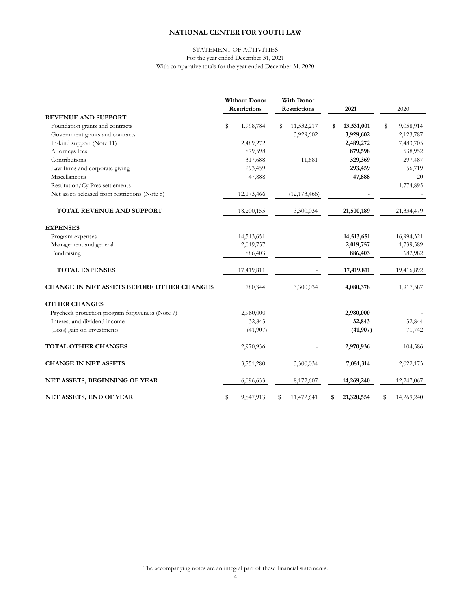#### With comparative totals for the year ended December 31, 2020 For the year ended December 31, 2021 STATEMENT OF ACTIVITIES

|                                                  |     | <b>Without Donor</b><br><b>Restrictions</b> |   | With Donor<br>Restrictions | 2021             |   | 2020       |
|--------------------------------------------------|-----|---------------------------------------------|---|----------------------------|------------------|---|------------|
| <b>REVENUE AND SUPPORT</b>                       |     |                                             |   |                            |                  |   |            |
| Foundation grants and contracts                  | \$  | 1,998,784                                   | s | 11,532,217                 | \$<br>13,531,001 | S | 9,058,914  |
| Government grants and contracts                  |     |                                             |   | 3,929,602                  | 3,929,602        |   | 2,123,787  |
| In-kind support (Note 11)                        |     | 2,489,272                                   |   |                            | 2,489,272        |   | 7,483,705  |
| Attorneys fees                                   |     | 879,598                                     |   |                            | 879,598          |   | 538,952    |
| Contributions                                    |     | 317,688                                     |   | 11,681                     | 329,369          |   | 297,487    |
| Law firms and corporate giving                   |     | 293,459                                     |   |                            | 293,459          |   | 56,719     |
| Miscellaneous                                    |     | 47,888                                      |   |                            | 47,888           |   | 20         |
| Restitution/Cy Pres settlements                  |     |                                             |   |                            |                  |   | 1,774,895  |
| Net assets released from restrictions (Note 8)   |     | 12,173,466                                  |   | (12, 173, 466)             |                  |   |            |
| <b>TOTAL REVENUE AND SUPPORT</b>                 |     | 18,200,155                                  |   | 3,300,034                  | 21,500,189       |   | 21,334,479 |
| <b>EXPENSES</b>                                  |     |                                             |   |                            |                  |   |            |
| Program expenses                                 |     | 14,513,651                                  |   |                            | 14,513,651       |   | 16,994,321 |
| Management and general                           |     | 2,019,757                                   |   |                            | 2,019,757        |   | 1,739,589  |
| Fundraising                                      |     | 886,403                                     |   |                            | 886,403          |   | 682,982    |
| <b>TOTAL EXPENSES</b>                            |     | 17,419,811                                  |   |                            | 17,419,811       |   | 19,416,892 |
| <b>CHANGE IN NET ASSETS BEFORE OTHER CHANGES</b> |     | 780,344                                     |   | 3,300,034                  | 4,080,378        |   | 1,917,587  |
| <b>OTHER CHANGES</b>                             |     |                                             |   |                            |                  |   |            |
| Paycheck protection program forgiveness (Note 7) |     | 2,980,000                                   |   |                            | 2,980,000        |   |            |
| Interest and dividend income                     |     | 32,843                                      |   |                            | 32,843           |   | 32,844     |
| (Loss) gain on investments                       |     | (41,907)                                    |   |                            | (41, 907)        |   | 71,742     |
| <b>TOTAL OTHER CHANGES</b>                       |     | 2,970,936                                   |   |                            | 2,970,936        |   | 104,586    |
| <b>CHANGE IN NET ASSETS</b>                      |     | 3,751,280                                   |   | 3,300,034                  | 7,051,314        |   | 2,022,173  |
| NET ASSETS, BEGINNING OF YEAR                    |     | 6,096,633                                   |   | 8,172,607                  | 14,269,240       |   | 12,247,067 |
| NET ASSETS, END OF YEAR                          | \$. | 9,847,913                                   | s | 11,472,641                 | 21,320,554       | S | 14,269,240 |

The accompanying notes are an integral part of these financial statements.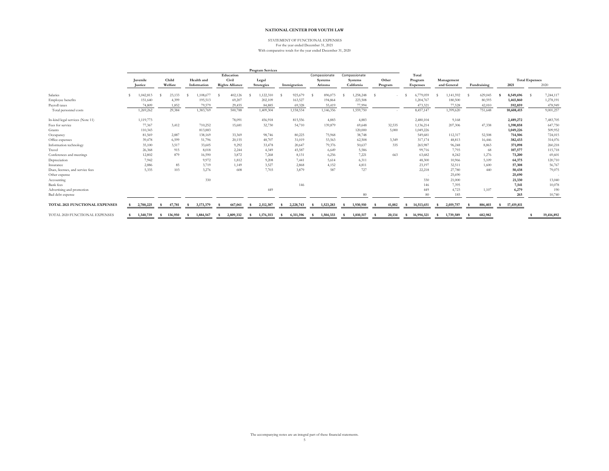#### STATEMENT OF FUNCTIONAL EXPENSESFor the year ended December 31, 2021 With comparative totals for the year ended December 31, 2020

|                                  | <b>Program Services</b> |           |     |         |   |             |   |                        |   |                   |     |             |     |               |     |               |         |    |                 |     |             |     |             |     |            |                       |            |
|----------------------------------|-------------------------|-----------|-----|---------|---|-------------|---|------------------------|---|-------------------|-----|-------------|-----|---------------|-----|---------------|---------|----|-----------------|-----|-------------|-----|-------------|-----|------------|-----------------------|------------|
|                                  |                         |           |     |         |   |             |   | Education              |   |                   |     |             |     | Compassionate |     | Compassionate |         |    | Total           |     |             |     |             |     |            |                       |            |
|                                  |                         | Juvenile  |     | Child   |   | Health and  |   | Civil                  |   | Legal             |     |             |     | Systems       |     | Systems       | Other   |    | Program         |     | Management  |     |             |     |            | <b>Total Expenses</b> |            |
|                                  |                         | Justice   |     | Welfare |   | Information |   | <b>Rights Alliance</b> |   | <b>Strategies</b> |     | Immigration |     | Arizona       |     | California    | Program |    | <b>Expenses</b> |     | and General |     | Fundraising |     | 2021       |                       | 2020       |
| Salaries                         |                         | ,042,813  |     | 23,133  |   | 1,108,677   |   | 402,126                |   | ,122,310          |     | 925,679     |     | 896,073       |     | ,258,248      |         |    | 6,779,059       |     | 1,141,592   |     | 629,045     |     | 8,549,696  |                       | 7,244,117  |
| Employee benefits                |                         | 151.640   |     | 4,399   |   | 195,513     |   | 69,207                 |   | 202,109           |     | 163,527     |     | 194.864       |     | 223,508       |         |    | 1,204,767       |     | 180,500     |     | 80,593      |     | 1,465,860  |                       | 1,278,191  |
| Payroll taxes                    |                         | 74,809    |     | 1,852   |   | 79,579      |   | 29,455                 |   | 84,885            |     | 69,328      |     | 55,419        |     | 77,994        |         |    | 473,321         |     | 77,528      |     | 42,010      |     | 592,859    |                       | 478,949    |
| Total personnel costs            |                         | 1,269,262 |     | 29,384  |   | 1,383,769   |   | 500,788                |   | 1,409,304         |     | 1,158,534   |     | 1,146,356     |     | 1,559,750     |         |    | 8,457,147       |     | 1,399,620   |     | 751,648     |     | 10,608,415 |                       | 9,001,257  |
| In-kind legal services (Note 11) |                         | 1,119,773 |     |         |   |             |   | 78,091                 |   | 456,918           |     | 815,556     |     | 4,883         |     | 4,883         |         |    | 2,480,104       |     | 9,168       |     |             |     | 2,489,272  |                       | 7,483,705  |
| Fees for service                 |                         | 77,367    |     | 3,412   |   | 710,252     |   | 15,681                 |   | 32,730            |     | 54,710      |     | 139,879       |     | 69,648        | 32,535  |    | 1,136,214       |     | 207,306     |     | 47,338      |     | 1,390,858  |                       | 647,750    |
| Grants                           |                         | 110,343   |     |         |   | 813,883     |   |                        |   |                   |     |             |     |               |     | 120,000       | 5,000   |    | 1,049,226       |     |             |     |             |     | 1,049,226  |                       | 509,952    |
| Occupancy                        |                         | 81,569    |     | 2,887   |   | 138,169     |   | 33,369                 |   | 98,746            |     | 80,225      |     | 75,968        |     | 38,748        |         |    | 549,681         |     | 112,317     |     | 52,508      |     | 714,506    |                       | 724,015    |
| Office expenses                  |                         | 39,478    |     | 6,599   |   | 51,796      |   | 20,155                 |   | 48,707            |     | 31,019      |     | 53,563        |     | 62,508        | 3,349   |    | 317,174         |     | 48,813      |     | 16,446      |     | 382,433    |                       | 314,076    |
| Information technology           |                         | 35,100    |     | 3,517   |   | 33,605      |   | 9,292                  |   | 33,478            |     | 20,647      |     | 79,376        |     | 50,637        | 335     |    | 265,987         |     | 96,248      |     | 8,863       |     | 371,098    |                       | 260,218    |
| Travel                           |                         | 26,368    |     | 915     |   | 8,018       |   | 2,244                  |   | 4,349             |     | 45,587      |     | 6,649         |     | 5,586         |         |    | 99,716          |     | 7,793       |     | 68          |     | 107,577    |                       | 115,718    |
| Conferences and meetings         |                         | 12,802    |     | 879     |   | 16,590      |   | 3,872                  |   | 7,268             |     | 8,131       |     | 6,256         |     | 7,221         | 663     |    | 63,682          |     | 8,242       |     | 1,276       |     | 73,200     |                       | 69,601     |
| Depreciation                     |                         | 7,942     |     |         |   | 9,972       |   | 1,812                  |   | 9,208             |     | 7,441       |     | 5,614         |     | 6,311         |         |    | 48,300          |     | 10,966      |     | 5,109       |     | 64,375     |                       | 120,710    |
| Insurance                        |                         | 2,886     |     | 85      |   | 3,719       |   | 1,149                  |   | 3,527             |     | 2,868       |     | 4,152         |     | 4,811         |         |    | 23,197          |     | 32,511      |     | 1,600       |     | 57,308     |                       | 56,767     |
| Dues, licenses, and service fees |                         | 5,335     |     | 103     |   | 3,276       |   | 608                    |   | 7,703             |     | 3,879       |     | 587           |     | 727           |         |    | 22,218          |     | 27,780      |     | 440         |     | 50,438     |                       | 79,075     |
| Other expense                    |                         |           |     |         |   |             |   |                        |   |                   |     |             |     |               |     |               |         |    |                 |     | 25,690      |     |             |     | 25,690     |                       |            |
| Accounting                       |                         |           |     |         |   | 330         |   |                        |   |                   |     |             |     |               |     |               |         |    | 330             |     | 21,000      |     |             |     | 21,330     |                       | 13,040     |
| <b>Bank</b> fees                 |                         |           |     |         |   |             |   |                        |   |                   |     | 146         |     |               |     |               |         |    | 146             |     | 7,395       |     |             |     | 7,541      |                       | 10,078     |
| Advertising and promotion        |                         |           |     |         |   |             |   |                        |   | 449               |     |             |     |               |     |               |         |    | 449             |     | 4.723       |     | 1,107       |     | 6,279      |                       | 190        |
| Bad debt expense                 |                         |           |     |         |   |             |   |                        |   |                   |     |             |     |               |     | 80            |         |    | 80              |     | 185         |     |             |     | 265        |                       | 10,740     |
| TOTAL 2021 FUNCTIONAL EXPENSES   | s.                      | 2,788,225 | - S | 47,781  | s | 3,173,379   | s | 667,061                | s | 2,112,387         | -S  | 2,228,743   | - S | 1,523,283     | - S | 1,930,910     | 41,882  | -S | 14,513,651      | - S | 2,019,757   | - S | 886,403     | - S | 17,419,811 |                       |            |
| TOTAL 2020 FUNCTIONAL EXPENSES   |                         | 1,340,739 | -S  | 136,950 |   | 1,884,567   |   | 2,809,332              |   | 1,176,353         | - S | 6,311,396   |     | 1,504,333     |     | 1,810,517     | 20,134  | -S | 16,994,321      | - S | 1,739,589   | - S | 682,982     |     |            |                       | 19,416,892 |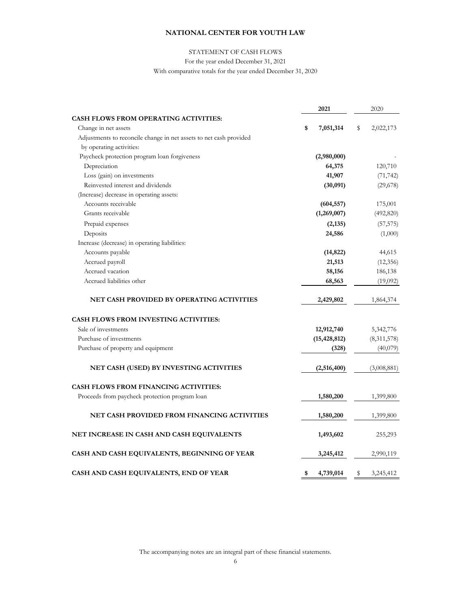# STATEMENT OF CASH FLOWS

For the year ended December 31, 2021

With comparative totals for the year ended December 31, 2020

|                                                                    | 2021            |    | 2020        |
|--------------------------------------------------------------------|-----------------|----|-------------|
| <b>CASH FLOWS FROM OPERATING ACTIVITIES:</b>                       |                 |    |             |
| Change in net assets                                               | \$<br>7,051,314 | s  | 2,022,173   |
| Adjustments to reconcile change in net assets to net cash provided |                 |    |             |
| by operating activities:                                           |                 |    |             |
| Paycheck protection program loan forgiveness                       | (2,980,000)     |    |             |
| Depreciation                                                       | 64,375          |    | 120,710     |
| Loss (gain) on investments                                         | 41,907          |    | (71, 742)   |
| Reinvested interest and dividends                                  | (30,091)        |    | (29,678)    |
| (Increase) decrease in operating assets:                           |                 |    |             |
| Accounts receivable                                                | (604, 557)      |    | 175,001     |
| Grants receivable                                                  | (1,269,007)     |    | (492, 820)  |
| Prepaid expenses                                                   | (2, 135)        |    | (57, 575)   |
| Deposits                                                           | 24,586          |    | (1,000)     |
| Increase (decrease) in operating liabilities:                      |                 |    |             |
| Accounts payable                                                   | (14, 822)       |    | 44,615      |
| Accrued payroll                                                    | 21,513          |    | (12, 356)   |
| Accrued vacation                                                   | 58,156          |    | 186,138     |
| Accrued liabilities other                                          | 68,563          |    | (19,092)    |
| NET CASH PROVIDED BY OPERATING ACTIVITIES                          | 2,429,802       |    | 1,864,374   |
| <b>CASH FLOWS FROM INVESTING ACTIVITIES:</b>                       |                 |    |             |
| Sale of investments                                                | 12,912,740      |    | 5,342,776   |
| Purchase of investments                                            | (15, 428, 812)  |    | (8,311,578) |
| Purchase of property and equipment                                 | (328)           |    | (40,079)    |
| <b>NET CASH (USED) BY INVESTING ACTIVITIES</b>                     | (2,516,400)     |    | (3,008,881) |
| <b>CASH FLOWS FROM FINANCING ACTIVITIES:</b>                       |                 |    |             |
| Proceeds from paycheck protection program loan                     | 1,580,200       |    | 1,399,800   |
| NET CASH PROVIDED FROM FINANCING ACTIVITIES                        | 1,580,200       |    | 1,399,800   |
| NET INCREASE IN CASH AND CASH EQUIVALENTS                          | 1,493,602       |    | 255,293     |
| CASH AND CASH EQUIVALENTS, BEGINNING OF YEAR                       | 3,245,412       |    | 2,990,119   |
| CASH AND CASH EQUIVALENTS, END OF YEAR                             | \$<br>4,739,014 | \$ | 3,245,412   |

The accompanying notes are an integral part of these financial statements.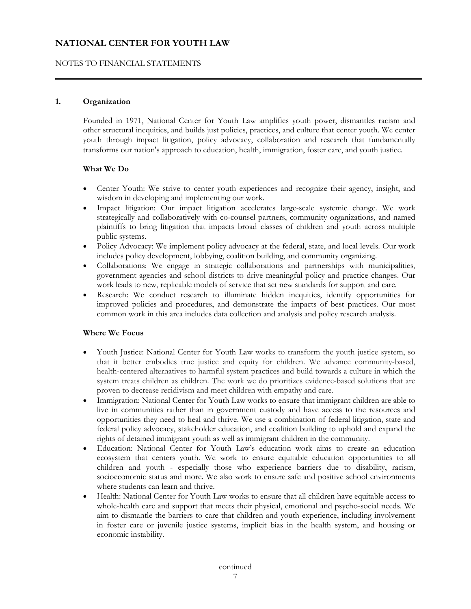# NOTES TO FINANCIAL STATEMENTS

# **1. Organization**

Founded in 1971, National Center for Youth Law amplifies youth power, dismantles racism and other structural inequities, and builds just policies, practices, and culture that center youth. We center youth through impact litigation, policy advocacy, collaboration and research that fundamentally transforms our nation's approach to education, health, immigration, foster care, and youth justice.

## **What We Do**

- Center Youth: We strive to center youth experiences and recognize their agency, insight, and wisdom in developing and implementing our work.
- Impact litigation: Our impact litigation accelerates large-scale systemic change. We work strategically and collaboratively with co-counsel partners, community organizations, and named plaintiffs to bring litigation that impacts broad classes of children and youth across multiple public systems.
- Policy Advocacy: We implement policy advocacy at the federal, state, and local levels. Our work includes policy development, lobbying, coalition building, and community organizing.
- Collaborations: We engage in strategic collaborations and partnerships with municipalities, government agencies and school districts to drive meaningful policy and practice changes. Our work leads to new, replicable models of service that set new standards for support and care.
- Research: We conduct research to illuminate hidden inequities, identify opportunities for improved policies and procedures, and demonstrate the impacts of best practices. Our most common work in this area includes data collection and analysis and policy research analysis.

#### **Where We Focus**

- Youth Justice: National Center for Youth Law works to transform the youth justice system, so that it better embodies true justice and equity for children. We advance community-based, health-centered alternatives to harmful system practices and build towards a culture in which the system treats children as children. The work we do prioritizes evidence-based solutions that are proven to decrease recidivism and meet children with empathy and care.
- Immigration: National Center for Youth Law works to ensure that immigrant children are able to live in communities rather than in government custody and have access to the resources and opportunities they need to heal and thrive. We use a combination of federal litigation, state and federal policy advocacy, stakeholder education, and coalition building to uphold and expand the rights of detained immigrant youth as well as immigrant children in the community.
- Education: National Center for Youth Law's education work aims to create an education ecosystem that centers youth. We work to ensure equitable education opportunities to all children and youth - especially those who experience barriers due to disability, racism, socioeconomic status and more. We also work to ensure safe and positive school environments where students can learn and thrive.
- Health: National Center for Youth Law works to ensure that all children have equitable access to whole-health care and support that meets their physical, emotional and psycho-social needs. We aim to dismantle the barriers to care that children and youth experience, including involvement in foster care or juvenile justice systems, implicit bias in the health system, and housing or economic instability.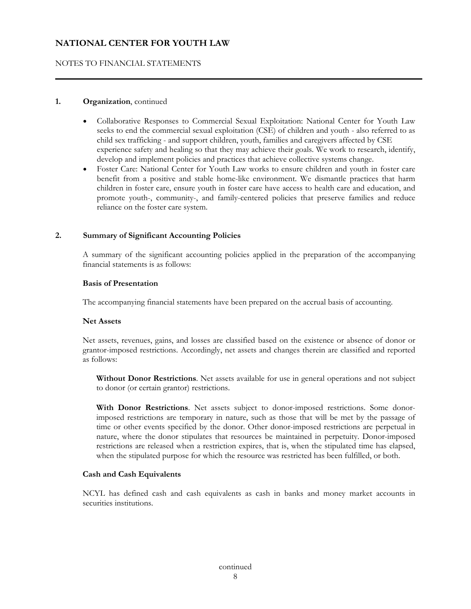# NOTES TO FINANCIAL STATEMENTS

# **1. Organization**, continued

- Collaborative Responses to Commercial Sexual Exploitation: National Center for Youth Law seeks to end the commercial sexual exploitation (CSE) of children and youth - also referred to as child sex trafficking - and support children, youth, families and caregivers affected by CSE experience safety and healing so that they may achieve their goals. We work to research, identify, develop and implement policies and practices that achieve collective systems change.
- Foster Care: National Center for Youth Law works to ensure children and youth in foster care benefit from a positive and stable home-like environment. We dismantle practices that harm children in foster care, ensure youth in foster care have access to health care and education, and promote youth-, community-, and family-centered policies that preserve families and reduce reliance on the foster care system.

## **2. Summary of Significant Accounting Policies**

 A summary of the significant accounting policies applied in the preparation of the accompanying financial statements is as follows:

## **Basis of Presentation**

The accompanying financial statements have been prepared on the accrual basis of accounting.

#### **Net Assets**

 Net assets, revenues, gains, and losses are classified based on the existence or absence of donor or grantor-imposed restrictions. Accordingly, net assets and changes therein are classified and reported as follows:

 **Without Donor Restrictions**. Net assets available for use in general operations and not subject to donor (or certain grantor) restrictions.

**With Donor Restrictions**. Net assets subject to donor-imposed restrictions. Some donorimposed restrictions are temporary in nature, such as those that will be met by the passage of time or other events specified by the donor. Other donor-imposed restrictions are perpetual in nature, where the donor stipulates that resources be maintained in perpetuity. Donor-imposed restrictions are released when a restriction expires, that is, when the stipulated time has elapsed, when the stipulated purpose for which the resource was restricted has been fulfilled, or both.

#### **Cash and Cash Equivalents**

 NCYL has defined cash and cash equivalents as cash in banks and money market accounts in securities institutions.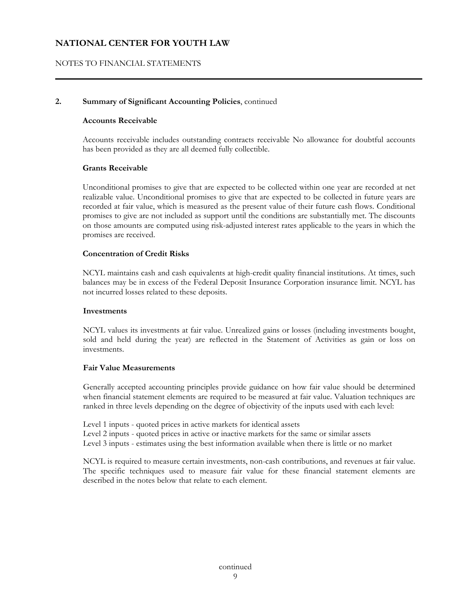# NOTES TO FINANCIAL STATEMENTS

### **2. Summary of Significant Accounting Policies**, continued

### **Accounts Receivable**

 Accounts receivable includes outstanding contracts receivable No allowance for doubtful accounts has been provided as they are all deemed fully collectible.

#### **Grants Receivable**

 Unconditional promises to give that are expected to be collected within one year are recorded at net realizable value. Unconditional promises to give that are expected to be collected in future years are recorded at fair value, which is measured as the present value of their future cash flows. Conditional promises to give are not included as support until the conditions are substantially met. The discounts on those amounts are computed using risk-adjusted interest rates applicable to the years in which the promises are received.

#### **Concentration of Credit Risks**

 NCYL maintains cash and cash equivalents at high-credit quality financial institutions. At times, such balances may be in excess of the Federal Deposit Insurance Corporation insurance limit. NCYL has not incurred losses related to these deposits.

#### **Investments**

NCYL values its investments at fair value. Unrealized gains or losses (including investments bought, sold and held during the year) are reflected in the Statement of Activities as gain or loss on investments.

#### **Fair Value Measurements**

Generally accepted accounting principles provide guidance on how fair value should be determined when financial statement elements are required to be measured at fair value. Valuation techniques are ranked in three levels depending on the degree of objectivity of the inputs used with each level:

Level 1 inputs - quoted prices in active markets for identical assets

Level 2 inputs - quoted prices in active or inactive markets for the same or similar assets

Level 3 inputs - estimates using the best information available when there is little or no market

NCYL is required to measure certain investments, non-cash contributions, and revenues at fair value. The specific techniques used to measure fair value for these financial statement elements are described in the notes below that relate to each element.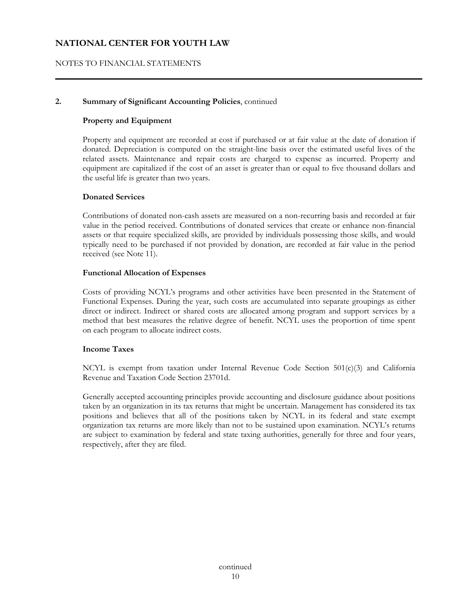# NOTES TO FINANCIAL STATEMENTS

# **2. Summary of Significant Accounting Policies**, continued

# **Property and Equipment**

 Property and equipment are recorded at cost if purchased or at fair value at the date of donation if donated. Depreciation is computed on the straight-line basis over the estimated useful lives of the related assets. Maintenance and repair costs are charged to expense as incurred. Property and equipment are capitalized if the cost of an asset is greater than or equal to five thousand dollars and the useful life is greater than two years.

## **Donated Services**

 Contributions of donated non-cash assets are measured on a non-recurring basis and recorded at fair value in the period received. Contributions of donated services that create or enhance non-financial assets or that require specialized skills, are provided by individuals possessing those skills, and would typically need to be purchased if not provided by donation, are recorded at fair value in the period received (see Note 11).

## **Functional Allocation of Expenses**

Costs of providing NCYL's programs and other activities have been presented in the Statement of Functional Expenses. During the year, such costs are accumulated into separate groupings as either direct or indirect. Indirect or shared costs are allocated among program and support services by a method that best measures the relative degree of benefit. NCYL uses the proportion of time spent on each program to allocate indirect costs.

# **Income Taxes**

NCYL is exempt from taxation under Internal Revenue Code Section 501(c)(3) and California Revenue and Taxation Code Section 23701d.

Generally accepted accounting principles provide accounting and disclosure guidance about positions taken by an organization in its tax returns that might be uncertain. Management has considered its tax positions and believes that all of the positions taken by NCYL in its federal and state exempt organization tax returns are more likely than not to be sustained upon examination. NCYL's returns are subject to examination by federal and state taxing authorities, generally for three and four years, respectively, after they are filed.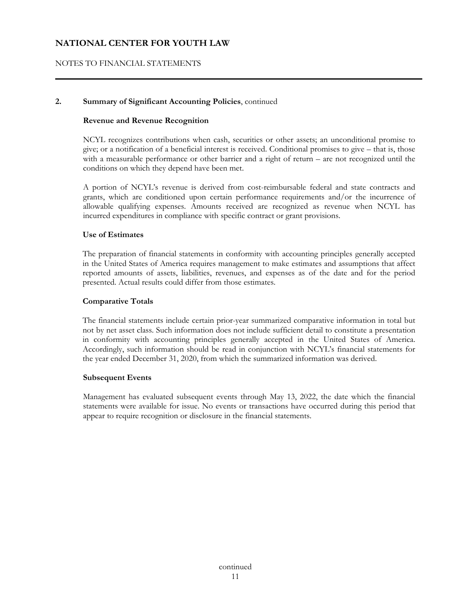# NOTES TO FINANCIAL STATEMENTS

# **2. Summary of Significant Accounting Policies**, continued

### **Revenue and Revenue Recognition**

NCYL recognizes contributions when cash, securities or other assets; an unconditional promise to give; or a notification of a beneficial interest is received. Conditional promises to give – that is, those with a measurable performance or other barrier and a right of return – are not recognized until the conditions on which they depend have been met.

A portion of NCYL's revenue is derived from cost-reimbursable federal and state contracts and grants, which are conditioned upon certain performance requirements and/or the incurrence of allowable qualifying expenses. Amounts received are recognized as revenue when NCYL has incurred expenditures in compliance with specific contract or grant provisions.

## **Use of Estimates**

 The preparation of financial statements in conformity with accounting principles generally accepted in the United States of America requires management to make estimates and assumptions that affect reported amounts of assets, liabilities, revenues, and expenses as of the date and for the period presented. Actual results could differ from those estimates.

### **Comparative Totals**

 The financial statements include certain prior-year summarized comparative information in total but not by net asset class. Such information does not include sufficient detail to constitute a presentation in conformity with accounting principles generally accepted in the United States of America. Accordingly, such information should be read in conjunction with NCYL's financial statements for the year ended December 31, 2020, from which the summarized information was derived.

#### **Subsequent Events**

Management has evaluated subsequent events through May 13, 2022, the date which the financial statements were available for issue. No events or transactions have occurred during this period that appear to require recognition or disclosure in the financial statements.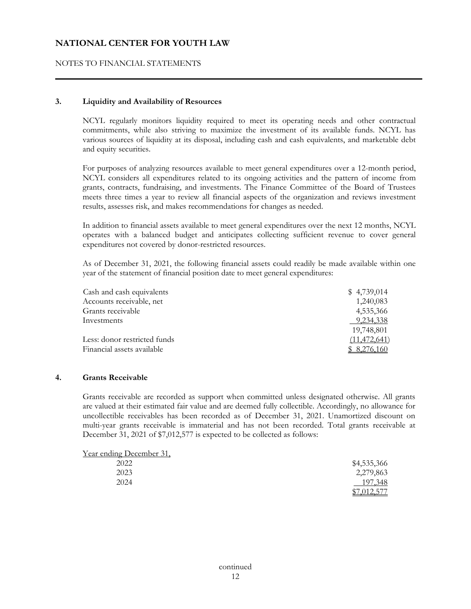# NOTES TO FINANCIAL STATEMENTS

### **3. Liquidity and Availability of Resources**

 NCYL regularly monitors liquidity required to meet its operating needs and other contractual commitments, while also striving to maximize the investment of its available funds. NCYL has various sources of liquidity at its disposal, including cash and cash equivalents, and marketable debt and equity securities.

 For purposes of analyzing resources available to meet general expenditures over a 12-month period, NCYL considers all expenditures related to its ongoing activities and the pattern of income from grants, contracts, fundraising, and investments. The Finance Committee of the Board of Trustees meets three times a year to review all financial aspects of the organization and reviews investment results, assesses risk, and makes recommendations for changes as needed.

 In addition to financial assets available to meet general expenditures over the next 12 months, NCYL operates with a balanced budget and anticipates collecting sufficient revenue to cover general expenditures not covered by donor-restricted resources.

 As of December 31, 2021, the following financial assets could readily be made available within one year of the statement of financial position date to meet general expenditures:

| Cash and cash equivalents    | \$4,739,014    |
|------------------------------|----------------|
| Accounts receivable, net     | 1,240,083      |
| Grants receivable            | 4,535,366      |
| Investments                  | 9,234,338      |
|                              | 19,748,801     |
| Less: donor restricted funds | (11, 472, 641) |
| Financial assets available   |                |
|                              |                |

#### **4. Grants Receivable**

 Grants receivable are recorded as support when committed unless designated otherwise. All grants are valued at their estimated fair value and are deemed fully collectible. Accordingly, no allowance for uncollectible receivables has been recorded as of December 31, 2021. Unamortized discount on multi-year grants receivable is immaterial and has not been recorded. Total grants receivable at December 31, 2021 of \$7,012,577 is expected to be collected as follows:

Year ending December 31,

| 2022 | \$4,535,366 |
|------|-------------|
| 2023 | 2,279,863   |
| 2024 | 197,348     |
|      | \$7,012,577 |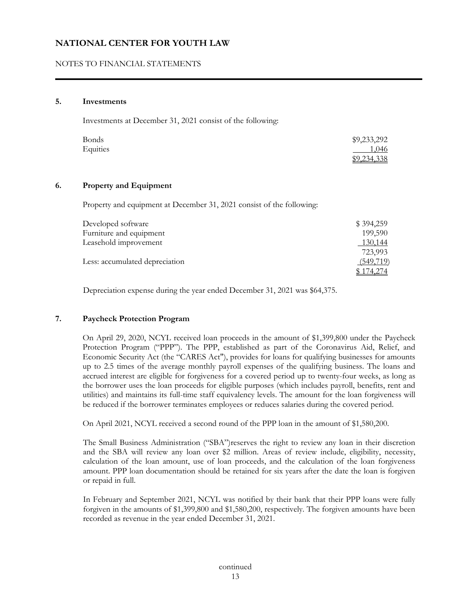# NOTES TO FINANCIAL STATEMENTS

#### **5. Investments**

Investments at December 31, 2021 consist of the following:

| Bonds    | \$9,233,292 |
|----------|-------------|
| Equities | 1,046       |
|          | \$9,234,338 |

#### **6. Property and Equipment**

Property and equipment at December 31, 2021 consist of the following:

| Developed software             | \$394,259        |
|--------------------------------|------------------|
| Furniture and equipment        | 199,590          |
| Leasehold improvement          | <u>130,144</u>   |
|                                | 723,993          |
| Less: accumulated depreciation | <u>(549,719)</u> |
|                                |                  |

Depreciation expense during the year ended December 31, 2021 was \$64,375.

# **7. Paycheck Protection Program**

On April 29, 2020, NCYL received loan proceeds in the amount of \$1,399,800 under the Paycheck Protection Program ("PPP"). The PPP, established as part of the Coronavirus Aid, Relief, and Economic Security Act (the "CARES Act"), provides for loans for qualifying businesses for amounts up to 2.5 times of the average monthly payroll expenses of the qualifying business. The loans and accrued interest are eligible for forgiveness for a covered period up to twenty-four weeks, as long as the borrower uses the loan proceeds for eligible purposes (which includes payroll, benefits, rent and utilities) and maintains its full-time staff equivalency levels. The amount for the loan forgiveness will be reduced if the borrower terminates employees or reduces salaries during the covered period.

On April 2021, NCYL received a second round of the PPP loan in the amount of \$1,580,200.

The Small Business Administration ("SBA")reserves the right to review any loan in their discretion and the SBA will review any loan over \$2 million. Areas of review include, eligibility, necessity, calculation of the loan amount, use of loan proceeds, and the calculation of the loan forgiveness amount. PPP loan documentation should be retained for six years after the date the loan is forgiven or repaid in full.

In February and September 2021, NCYL was notified by their bank that their PPP loans were fully forgiven in the amounts of \$1,399,800 and \$1,580,200, respectively. The forgiven amounts have been recorded as revenue in the year ended December 31, 2021.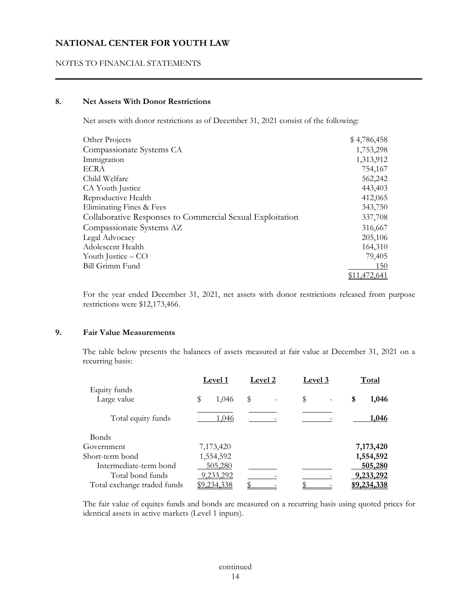# NOTES TO FINANCIAL STATEMENTS

# **8. Net Assets With Donor Restrictions**

Net assets with donor restrictions as of December 31, 2021 consist of the following:

| Other Projects                                            | \$4,786,458         |
|-----------------------------------------------------------|---------------------|
| Compassionate Systems CA                                  | 1,753,298           |
| Immigration                                               | 1,313,912           |
| ECRA                                                      | 754,167             |
| Child Welfare                                             | 562,242             |
| CA Youth Justice                                          | 443,403             |
| Reproductive Health                                       | 412,065             |
| Eliminating Fines & Fees                                  | 343,750             |
| Collaborative Responses to Commercial Sexual Exploitation | 337,708             |
| Compassionate Systems AZ                                  | 316,667             |
| Legal Advocacy                                            | 205,106             |
| Adolescent Health                                         | 164,310             |
| Youth Justice $-$ CO                                      | 79,405              |
| Bill Grimm Fund                                           | 150                 |
|                                                           | <u>\$11,472,641</u> |

For the year ended December 31, 2021, net assets with donor restrictions released from purpose restrictions were \$12,173,466.

# **9. Fair Value Measurements**

 The table below presents the balances of assets measured at fair value at December 31, 2021 on a recurring basis:

|                             | Level 1     |         | Level 2 | Level 3 |    | Total       |
|-----------------------------|-------------|---------|---------|---------|----|-------------|
| Equity funds<br>Large value | \$          | 1,046   | \$      | \$      | \$ | 1,046       |
| Total equity funds          |             | 1,046   |         |         |    | 1,046       |
| <b>Bonds</b>                |             |         |         |         |    |             |
| Government                  | 7,173,420   |         |         |         |    | 7,173,420   |
| Short-term bond             | 1,554,592   |         |         |         |    | 1,554,592   |
| Intermediate-term bond      |             | 505,280 |         |         |    | 505,280     |
| Total bond funds            | 9,233,292   |         |         |         |    | 9,233,292   |
| Total exchange traded funds | \$9,234,338 |         |         |         |    | \$9,234,338 |

The fair value of equites funds and bonds are measured on a recurring basis using quoted prices for identical assets in active markets (Level 1 inputs).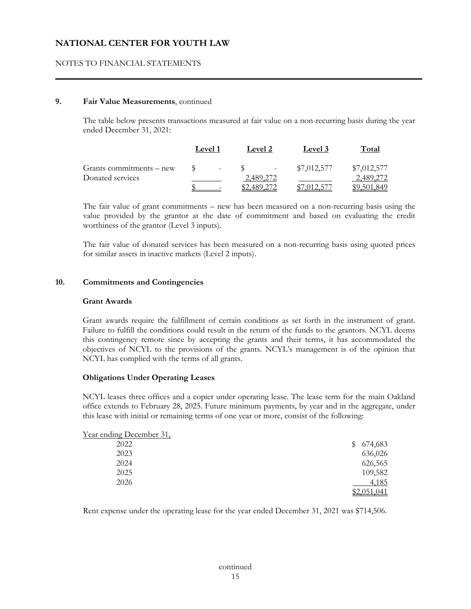### NOTES TO FINANCIAL STATEMENTS

#### **9. Fair Value Measurements**, continued

The table below presents transactions measured at fair value on a non-recurring basis during the year ended December 31, 2021:

|                          | ' evel. | <b>Level 2</b>           | <b>Level 3</b> | Total       |
|--------------------------|---------|--------------------------|----------------|-------------|
| Grants commitments – new | $\sim$  | $\overline{\phantom{a}}$ | \$7,012,577    | \$7,012,577 |
| Donated services         |         | 2,489,272                |                | 2,489,272   |

The fair value of grant commitments – new has been measured on a non-recurring basis using the value provided by the grantor at the date of commitment and based on evaluating the credit worthiness of the grantor (Level 3 inputs).

The fair value of donated services has been measured on a non-recurring basis using quoted prices for similar assets in inactive markets (Level 2 inputs).

#### **10. Commitments and Contingencies**

#### **Grant Awards**

 Grant awards require the fulfillment of certain conditions as set forth in the instrument of grant. Failure to fulfill the conditions could result in the return of the funds to the grantors. NCYL deems this contingency remote since by accepting the grants and their terms, it has accommodated the objectives of NCYL to the provisions of the grants. NCYL's management is of the opinion that NCYL has complied with the terms of all grants.

#### **Obligations Under Operating Leases**

 NCYL leases three offices and a copier under operating lease. The lease term for the main Oakland office extends to February 28, 2025. Future minimum payments, by year and in the aggregate, under this lease with initial or remaining terms of one year or more, consist of the following:

| Year ending December 31, |              |
|--------------------------|--------------|
| 2022                     | 674,683<br>S |
| 2023                     | 636,026      |
| 2024                     | 626,565      |
| 2025                     | 109,582      |
| 2026                     | 4,185        |
|                          | .041         |

Rent expense under the operating lease for the year ended December 31, 2021 was \$714,506.